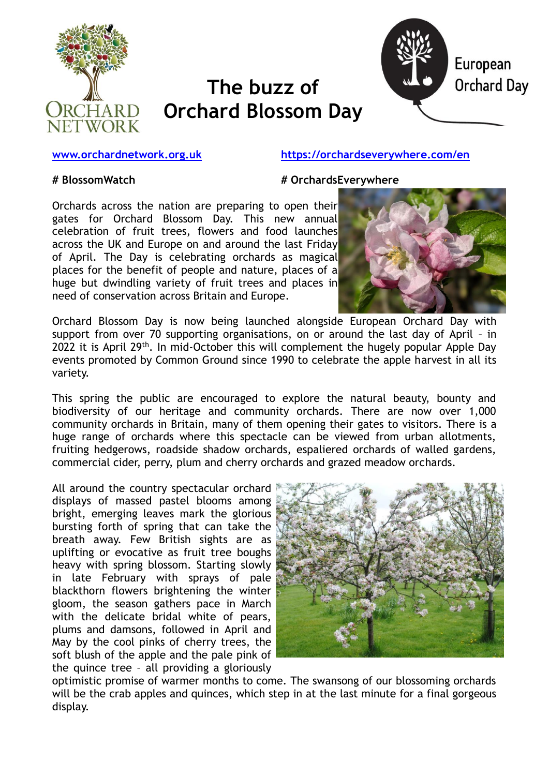

# **The buzz of Orchard Blossom Day**



#### **[www.orchardnetwork.org.uk](http://www.orchardnetwork.org.uk/) <https://orchardseverywhere.com/en>**

**# BlossomWatch # OrchardsEverywhere**

Orchards across the nation are preparing to open their gates for Orchard Blossom Day. This new annual celebration of fruit trees, flowers and food launches across the UK and Europe on and around the last Friday of April. The Day is celebrating orchards as magical places for the benefit of people and nature, places of a huge but dwindling variety of fruit trees and places in need of conservation across Britain and Europe.



Orchard Blossom Day is now being launched alongside European Orchard Day with support from over 70 supporting organisations, on or around the last day of April – in 2022 it is April 29<sup>th</sup>. In mid-October this will complement the hugely popular Apple Day events promoted by Common Ground since 1990 to celebrate the apple harvest in all its variety.

This spring the public are encouraged to explore the natural beauty, bounty and biodiversity of our heritage and community orchards. There are now over 1,000 community orchards in Britain, many of them opening their gates to visitors. There is a huge range of orchards where this spectacle can be viewed from urban allotments, fruiting hedgerows, roadside shadow orchards, espaliered orchards of walled gardens, commercial cider, perry, plum and cherry orchards and grazed meadow orchards.

All around the country spectacular orchard displays of massed pastel blooms among bright, emerging leaves mark the glorious bursting forth of spring that can take the breath away. Few British sights are as uplifting or evocative as fruit tree boughs heavy with spring blossom. Starting slowly in late February with sprays of pale blackthorn flowers brightening the winter gloom, the season gathers pace in March with the delicate bridal white of pears, plums and damsons, followed in April and May by the cool pinks of cherry trees, the soft blush of the apple and the pale pink of the quince tree – all providing a gloriously



optimistic promise of warmer months to come. The swansong of our blossoming orchards will be the crab apples and quinces, which step in at the last minute for a final gorgeous display.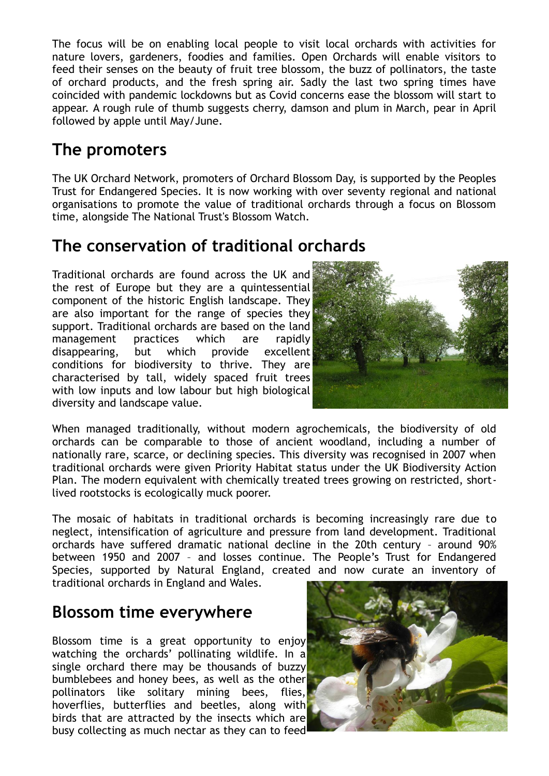The focus will be on enabling local people to visit local orchards with activities for nature lovers, gardeners, foodies and families. Open Orchards will enable visitors to feed their senses on the beauty of fruit tree blossom, the buzz of pollinators, the taste of orchard products, and the fresh spring air. Sadly the last two spring times have coincided with pandemic lockdowns but as Covid concerns ease the blossom will start to appear. A rough rule of thumb suggests cherry, damson and plum in March, pear in April followed by apple until May/June.

## **The promoters**

The UK Orchard Network, promoters of Orchard Blossom Day, is supported by the Peoples Trust for Endangered Species. It is now working with over seventy regional and national organisations to promote the value of traditional orchards through a focus on Blossom time, alongside The National Trust's Blossom Watch.

#### **The conservation of traditional orchards**

Traditional orchards are found across the UK and the rest of Europe but they are a quintessential component of the historic English landscape. They are also important for the range of species they support. Traditional orchards are based on the land management practices which are rapidly disappearing, but which provide excellent conditions for biodiversity to thrive. They are characterised by tall, widely spaced fruit trees with low inputs and low labour but high biological diversity and landscape value.



When managed traditionally, without modern agrochemicals, the biodiversity of old orchards can be comparable to those of ancient woodland, including a number of nationally rare, scarce, or declining species. This diversity was recognised in 2007 when traditional orchards were given Priority Habitat status under the UK Biodiversity Action Plan. The modern equivalent with chemically treated trees growing on restricted, shortlived rootstocks is ecologically muck poorer.

The mosaic of habitats in traditional orchards is becoming increasingly rare due to neglect, intensification of agriculture and pressure from land development. Traditional orchards have suffered dramatic national decline in the 20th century – around 90% between 1950 and 2007 – and losses continue. The People's Trust for Endangered Species, supported by Natural England, created and now curate an inventory of traditional orchards in England and Wales.

### **Blossom time everywhere**

Blossom time is a great opportunity to enjoy watching the orchards' pollinating wildlife. In a single orchard there may be thousands of buzzy bumblebees and honey bees, as well as the other pollinators like solitary mining bees, flies, hoverflies, butterflies and beetles, along with birds that are attracted by the insects which are busy collecting as much nectar as they can to feed